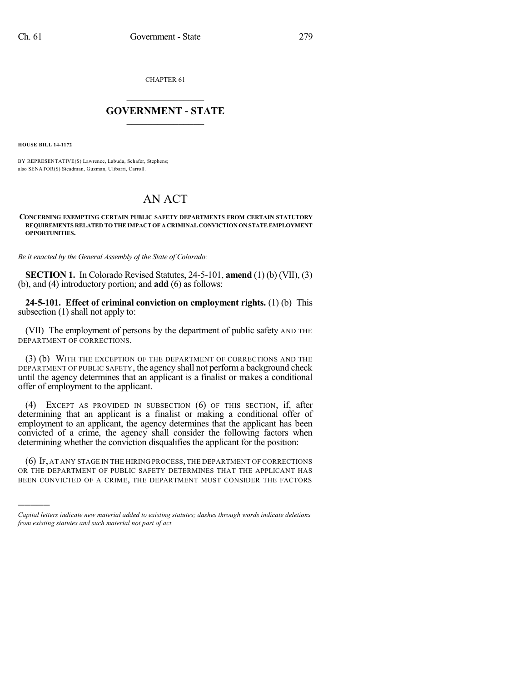CHAPTER 61

## $\mathcal{L}_\text{max}$  . The set of the set of the set of the set of the set of the set of the set of the set of the set of the set of the set of the set of the set of the set of the set of the set of the set of the set of the set **GOVERNMENT - STATE**  $\_$   $\_$

**HOUSE BILL 14-1172**

)))))

BY REPRESENTATIVE(S) Lawrence, Labuda, Schafer, Stephens; also SENATOR(S) Steadman, Guzman, Ulibarri, Carroll.

## AN ACT

## **CONCERNING EXEMPTING CERTAIN PUBLIC SAFETY DEPARTMENTS FROM CERTAIN STATUTORY REQUIREMENTS RELATED TO THE IMPACT OF A CRIMINAL CONVICTION ON STATE EMPLOYMENT OPPORTUNITIES.**

*Be it enacted by the General Assembly of the State of Colorado:*

**SECTION 1.** In Colorado Revised Statutes, 24-5-101, **amend** (1) (b) (VII), (3) (b), and (4) introductory portion; and **add** (6) as follows:

**24-5-101. Effect of criminal conviction on employment rights.** (1) (b) This subsection (1) shall not apply to:

(VII) The employment of persons by the department of public safety AND THE DEPARTMENT OF CORRECTIONS.

(3) (b) WITH THE EXCEPTION OF THE DEPARTMENT OF CORRECTIONS AND THE DEPARTMENT OF PUBLIC SAFETY, the agency shall not perform a background check until the agency determines that an applicant is a finalist or makes a conditional offer of employment to the applicant.

(4) EXCEPT AS PROVIDED IN SUBSECTION (6) OF THIS SECTION, if, after determining that an applicant is a finalist or making a conditional offer of employment to an applicant, the agency determines that the applicant has been convicted of a crime, the agency shall consider the following factors when determining whether the conviction disqualifies the applicant for the position:

(6) IF, AT ANY STAGE IN THE HIRING PROCESS, THE DEPARTMENT OF CORRECTIONS OR THE DEPARTMENT OF PUBLIC SAFETY DETERMINES THAT THE APPLICANT HAS BEEN CONVICTED OF A CRIME, THE DEPARTMENT MUST CONSIDER THE FACTORS

*Capital letters indicate new material added to existing statutes; dashes through words indicate deletions from existing statutes and such material not part of act.*